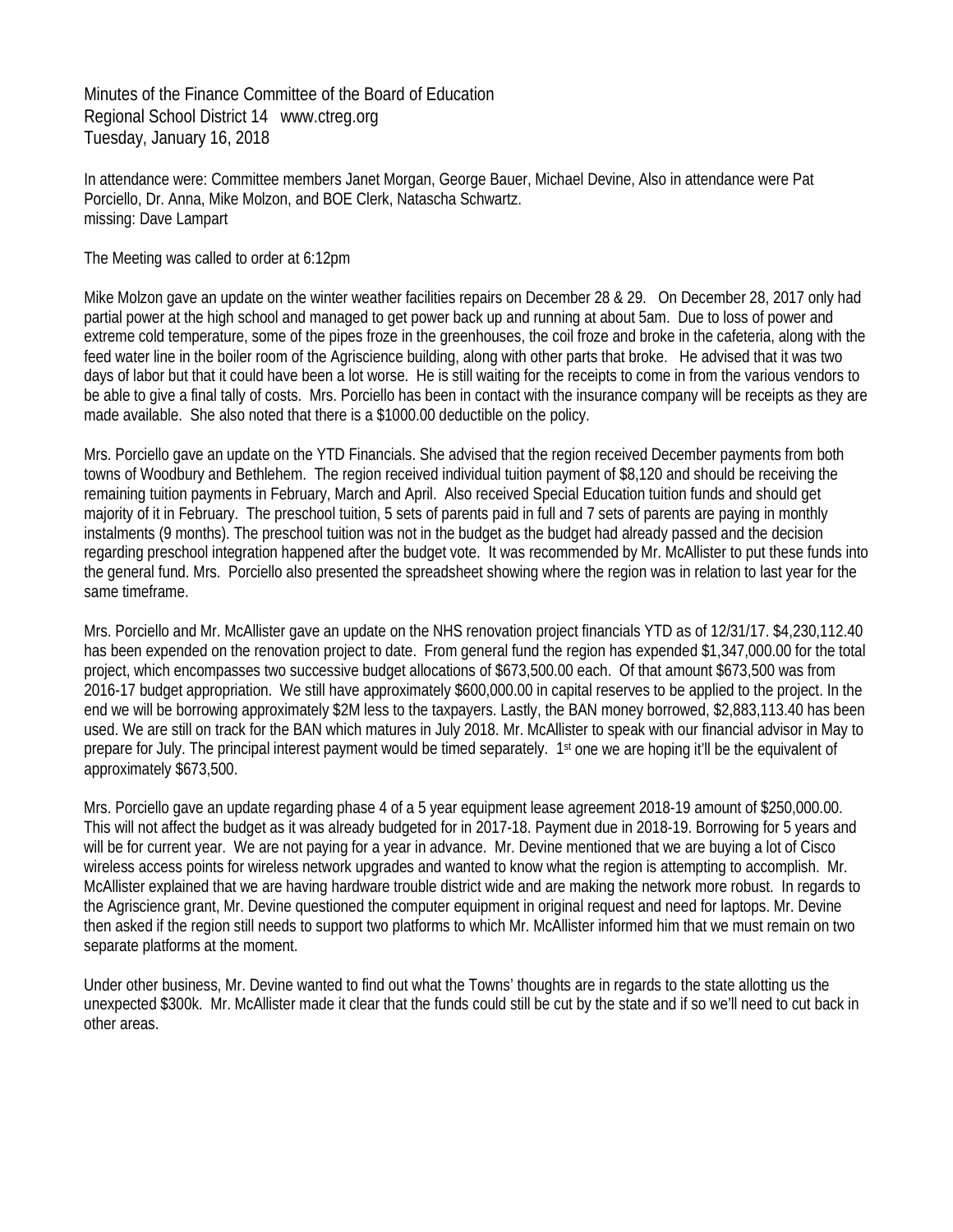Minutes of the Finance Committee of the Board of Education Regional School District 14 www.ctreg.org Tuesday, January 16, 2018

In attendance were: Committee members Janet Morgan, George Bauer, Michael Devine, Also in attendance were Pat Porciello, Dr. Anna, Mike Molzon, and BOE Clerk, Natascha Schwartz. missing: Dave Lampart

The Meeting was called to order at 6:12pm

Mike Molzon gave an update on the winter weather facilities repairs on December 28 & 29. On December 28, 2017 only had partial power at the high school and managed to get power back up and running at about 5am. Due to loss of power and extreme cold temperature, some of the pipes froze in the greenhouses, the coil froze and broke in the cafeteria, along with the feed water line in the boiler room of the Agriscience building, along with other parts that broke. He advised that it was two days of labor but that it could have been a lot worse. He is still waiting for the receipts to come in from the various vendors to be able to give a final tally of costs. Mrs. Porciello has been in contact with the insurance company will be receipts as they are made available. She also noted that there is a \$1000.00 deductible on the policy.

Mrs. Porciello gave an update on the YTD Financials. She advised that the region received December payments from both towns of Woodbury and Bethlehem. The region received individual tuition payment of \$8,120 and should be receiving the remaining tuition payments in February, March and April. Also received Special Education tuition funds and should get majority of it in February. The preschool tuition, 5 sets of parents paid in full and 7 sets of parents are paying in monthly instalments (9 months). The preschool tuition was not in the budget as the budget had already passed and the decision regarding preschool integration happened after the budget vote. It was recommended by Mr. McAllister to put these funds into the general fund. Mrs. Porciello also presented the spreadsheet showing where the region was in relation to last year for the same timeframe.

Mrs. Porciello and Mr. McAllister gave an update on the NHS renovation project financials YTD as of 12/31/17. \$4,230,112.40 has been expended on the renovation project to date. From general fund the region has expended \$1,347,000.00 for the total project, which encompasses two successive budget allocations of \$673,500.00 each. Of that amount \$673,500 was from 2016-17 budget appropriation. We still have approximately \$600,000.00 in capital reserves to be applied to the project. In the end we will be borrowing approximately \$2M less to the taxpayers. Lastly, the BAN money borrowed, \$2,883,113.40 has been used. We are still on track for the BAN which matures in July 2018. Mr. McAllister to speak with our financial advisor in May to prepare for July. The principal interest payment would be timed separately. 1st one we are hoping it'll be the equivalent of approximately \$673,500.

Mrs. Porciello gave an update regarding phase 4 of a 5 year equipment lease agreement 2018-19 amount of \$250,000.00. This will not affect the budget as it was already budgeted for in 2017-18. Payment due in 2018-19. Borrowing for 5 years and will be for current year. We are not paying for a year in advance. Mr. Devine mentioned that we are buying a lot of Cisco wireless access points for wireless network upgrades and wanted to know what the region is attempting to accomplish. Mr. McAllister explained that we are having hardware trouble district wide and are making the network more robust. In regards to the Agriscience grant, Mr. Devine questioned the computer equipment in original request and need for laptops. Mr. Devine then asked if the region still needs to support two platforms to which Mr. McAllister informed him that we must remain on two separate platforms at the moment.

Under other business, Mr. Devine wanted to find out what the Towns' thoughts are in regards to the state allotting us the unexpected \$300k. Mr. McAllister made it clear that the funds could still be cut by the state and if so we'll need to cut back in other areas.